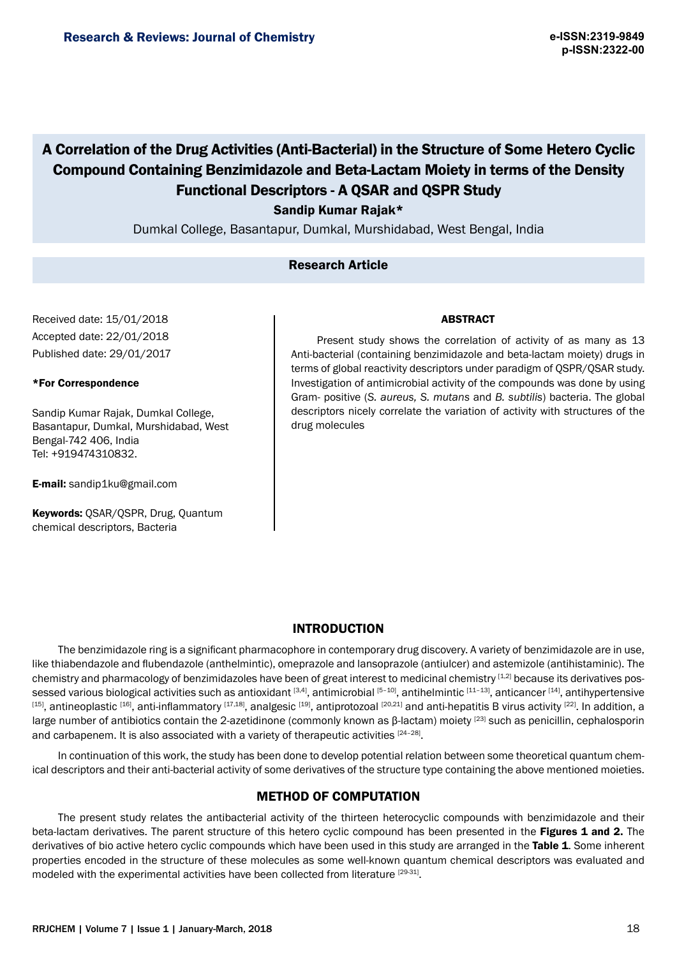# A Correlation of the Drug Activities (Anti-Bacterial) in the Structure of Some Hetero Cyclic Compound Containing Benzimidazole and Beta-Lactam Moiety in terms of the Density Functional Descriptors - A QSAR and QSPR Study

Sandip Kumar Rajak\*

Dumkal College, Basantapur, Dumkal, Murshidabad, West Bengal, India

## Research Article

Received date: 15/01/2018 Accepted date: 22/01/2018 Published date: 29/01/2017

#### \*For Correspondence

Sandip Kumar Rajak, Dumkal College, Basantapur, Dumkal, Murshidabad, West Bengal-742 406, India Tel: +919474310832.

E-mail: sandip1ku@gmail.com

Keywords: QSAR/QSPR, Drug, Quantum chemical descriptors, Bacteria

#### ABSTRACT

Present study shows the correlation of activity of as many as 13 Anti-bacterial (containing benzimidazole and beta-lactam moiety) drugs in terms of global reactivity descriptors under paradigm of QSPR/QSAR study. Investigation of antimicrobial activity of the compounds was done by using Gram- positive (*S. aureus, S. mutans* and *B. subtilis*) bacteria. The global descriptors nicely correlate the variation of activity with structures of the drug molecules

#### INTRODUCTION

The benzimidazole ring is a significant pharmacophore in contemporary drug discovery. A variety of benzimidazole are in use, like thiabendazole and flubendazole (anthelmintic), omeprazole and lansoprazole (antiulcer) and astemizole (antihistaminic). The chemistry and pharmacology of benzimidazoles have been of great interest to medicinal chemistry  $[1,2]$  because its derivatives possessed various biological activities such as antioxidant [3,4], antimicrobial [5-10], antihelmintic [11-13], anticancer [14], antihypertensive  $^{[15]}$ , antineoplastic  $^{[16]}$ , anti-inflammatory  $^{[17,18]}$ , analgesic  $^{[19]}$ , antiprotozoal  $^{[20,21]}$  and anti-hepatitis B virus activity  $^{[22]}$ . In addition, a large number of antibiotics contain the 2-azetidinone (commonly known as β-lactam) moiety [23] such as penicillin, cephalosporin and carbapenem. It is also associated with a variety of therapeutic activities [24-28].

In continuation of this work, the study has been done to develop potential relation between some theoretical quantum chemical descriptors and their anti-bacterial activity of some derivatives of the structure type containing the above mentioned moieties.

## METHOD OF COMPUTATION

The present study relates the antibacterial activity of the thirteen heterocyclic compounds with benzimidazole and their beta-lactam derivatives. The parent structure of this hetero cyclic compound has been presented in the Figures 1 and 2. The derivatives of bio active hetero cyclic compounds which have been used in this study are arranged in the Table 1. Some inherent properties encoded in the structure of these molecules as some well-known quantum chemical descriptors was evaluated and modeled with the experimental activities have been collected from literature [29-31].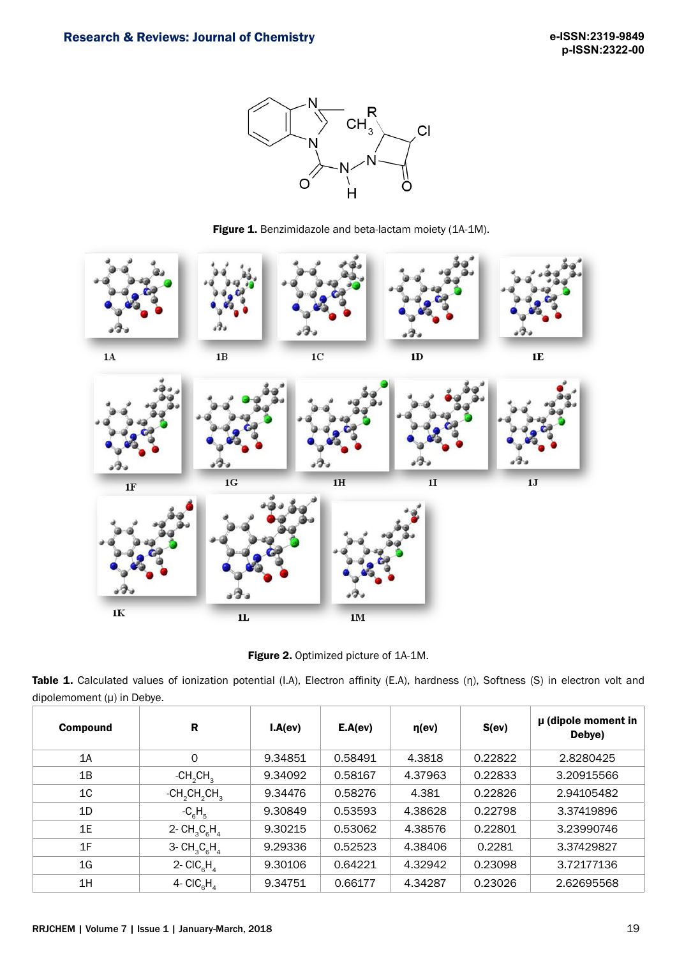

Figure 1. Benzimidazole and beta-lactam moiety (1A-1M).



Figure 2. Optimized picture of 1A-1M.

Table 1. Calculated values of ionization potential (I.A), Electron affinity (E.A), hardness (η), Softness (S) in electron volt and dipolemoment (µ) in Debye.

| <b>Compound</b> | R                                  | I.A(ev) | E.A(ev) | $\eta$ (ev) | S(ev)   | $\mu$ (dipole moment in<br>Debye) |
|-----------------|------------------------------------|---------|---------|-------------|---------|-----------------------------------|
| 1A              | $\Omega$                           | 9.34851 | 0.58491 | 4.3818      | 0.22822 | 2.8280425                         |
| 1B              | $-CH2CH3$                          | 9.34092 | 0.58167 | 4.37963     | 0.22833 | 3.20915566                        |
| 1 <sub>C</sub>  | $-CH_2CH_2CH_3$                    | 9.34476 | 0.58276 | 4.381       | 0.22826 | 2.94105482                        |
| 1D              | $-C_{\rm g}H_{\rm g}$              | 9.30849 | 0.53593 | 4.38628     | 0.22798 | 3.37419896                        |
| 1E              | 2- $CH_3C_6H_4$                    | 9.30215 | 0.53062 | 4.38576     | 0.22801 | 3.23990746                        |
| 1F              | 3- $CH_3C_6H_4$                    | 9.29336 | 0.52523 | 4.38406     | 0.2281  | 3.37429827                        |
| 1G              | 2- $CIC_{\alpha}H_{\alpha}$        | 9.30106 | 0.64221 | 4.32942     | 0.23098 | 3.72177136                        |
| 1H              | 4- CIC <sub>6</sub> H <sub>4</sub> | 9.34751 | 0.66177 | 4.34287     | 0.23026 | 2.62695568                        |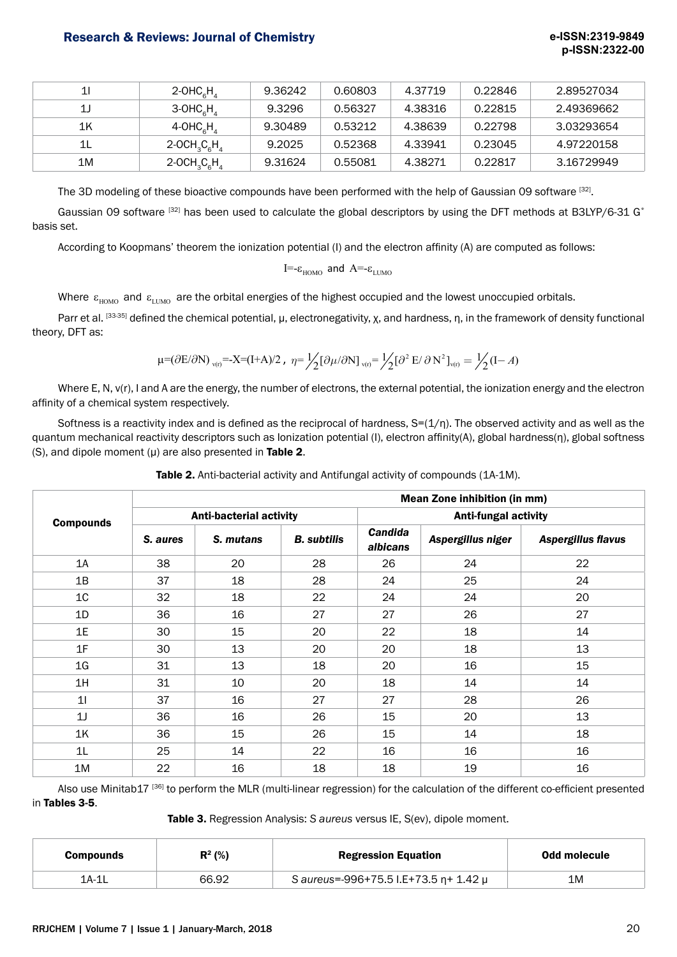## Research & Reviews: Journal of Chemistry **e-ISSN:2319-9849**

| 11 | 2-OHC $H_{4}$                                    | 9.36242 | 0.60803 | 4.37719 | 0.22846 | 2.89527034 |
|----|--------------------------------------------------|---------|---------|---------|---------|------------|
| 1J | $3-OHCaHa$                                       | 9.3296  | 0.56327 | 4.38316 | 0.22815 | 2.49369662 |
| 1K | $4$ -OHC <sub>e</sub> H <sub>4</sub>             | 9.30489 | 0.53212 | 4.38639 | 0.22798 | 3.03293654 |
| 1L | 2-OCH <sub>3</sub> C <sub>6</sub> H <sub>4</sub> | 9.2025  | 0.52368 | 4.33941 | 0.23045 | 4.97220158 |
| 1M | 2-OCH <sub>3</sub> C <sub>6</sub> H <sub>4</sub> | 9.31624 | 0.55081 | 4.38271 | 0.22817 | 3.16729949 |

The 3D modeling of these bioactive compounds have been performed with the help of Gaussian 09 software [32].

Gaussian 09 software  $[32]$  has been used to calculate the global descriptors by using the DFT methods at B3LYP/6-31 G\* basis set.

According to Koopmans' theorem the ionization potential (I) and the electron affinity (A) are computed as follows:

I=-ε<sub>HOMO</sub> and A=-ε<sub>LUMO</sub>

Where  $\varepsilon_{HOMO}$  and  $\varepsilon_{LUMO}$  are the orbital energies of the highest occupied and the lowest unoccupied orbitals.

Parr et al. [33-35] defined the chemical potential, μ, electronegativity, χ, and hardness, η, in the framework of density functional theory, DFT as:

$$
\mu = (\partial E/\partial N)_{v(r)} = -X = (I+A)/2 \ , \ \eta = \frac{1}{2} [\partial \mu/\partial N]_{v(r)} = \frac{1}{2} [\partial^2 E/\partial N^2]_{v(r)} = \frac{1}{2} (I-A)
$$

Where E, N, v(r), I and A are the energy, the number of electrons, the external potential, the ionization energy and the electron affinity of a chemical system respectively.

Softness is a reactivity index and is defined as the reciprocal of hardness,  $S=(1/n)$ . The observed activity and as well as the quantum mechanical reactivity descriptors such as Ionization potential (I), electron affinity(A), global hardness(η), global softness (S), and dipole moment  $(\mu)$  are also presented in Table 2.

|                  | <b>Mean Zone inhibition (in mm)</b> |           |                    |                             |                   |                    |  |
|------------------|-------------------------------------|-----------|--------------------|-----------------------------|-------------------|--------------------|--|
| <b>Compounds</b> | <b>Anti-bacterial activity</b>      |           |                    | <b>Anti-fungal activity</b> |                   |                    |  |
|                  | S. aures                            | S. mutans | <b>B.</b> subtilis | <b>Candida</b><br>albicans  | Aspergillus niger | Aspergillus flavus |  |
| 1A               | 38                                  | 20        | 28                 | 26                          | 24                | 22                 |  |
| 1B               | 37                                  | 18        | 28                 | 24                          | 25                | 24                 |  |
| 1 <sub>C</sub>   | 32                                  | 18        | 22                 | 24                          | 24                | 20                 |  |
| 1D               | 36                                  | 16        | 27                 | 27                          | 26                | 27                 |  |
| 1E               | 30                                  | 15        | 20                 | 22                          | 18                | 14                 |  |
| 1F               | 30                                  | 13        | 20                 | 20                          | 18                | 13                 |  |
| 1 <sub>G</sub>   | 31                                  | 13        | 18                 | 20                          | 16                | 15                 |  |
| 1H               | 31                                  | 10        | 20                 | 18                          | 14                | 14                 |  |
| 11               | 37                                  | 16        | 27                 | 27                          | 28                | 26                 |  |
| 1J               | 36                                  | 16        | 26                 | 15                          | 20                | 13                 |  |
| 1K               | 36                                  | 15        | 26                 | 15                          | 14                | 18                 |  |
| 1 <sub>L</sub>   | 25                                  | 14        | 22                 | 16                          | 16                | 16                 |  |
| 1M               | 22                                  | 16        | 18                 | 18                          | 19                | 16                 |  |

Also use Minitab17<sup>[36]</sup> to perform the MLR (multi-linear regression) for the calculation of the different co-efficient presented in Tables 3-5.

Table 3. Regression Analysis: *S aureus* versus IE, S(ev), dipole moment.

| <b>Compounds</b> | $R^2$ (%) | <b>Regression Equation</b>                      | Odd molecule |
|------------------|-----------|-------------------------------------------------|--------------|
| $1A-1L$          | 66.92     | S aureus=-996+75.5 I.E+73.5 $\eta$ + 1.42 $\mu$ | 1M           |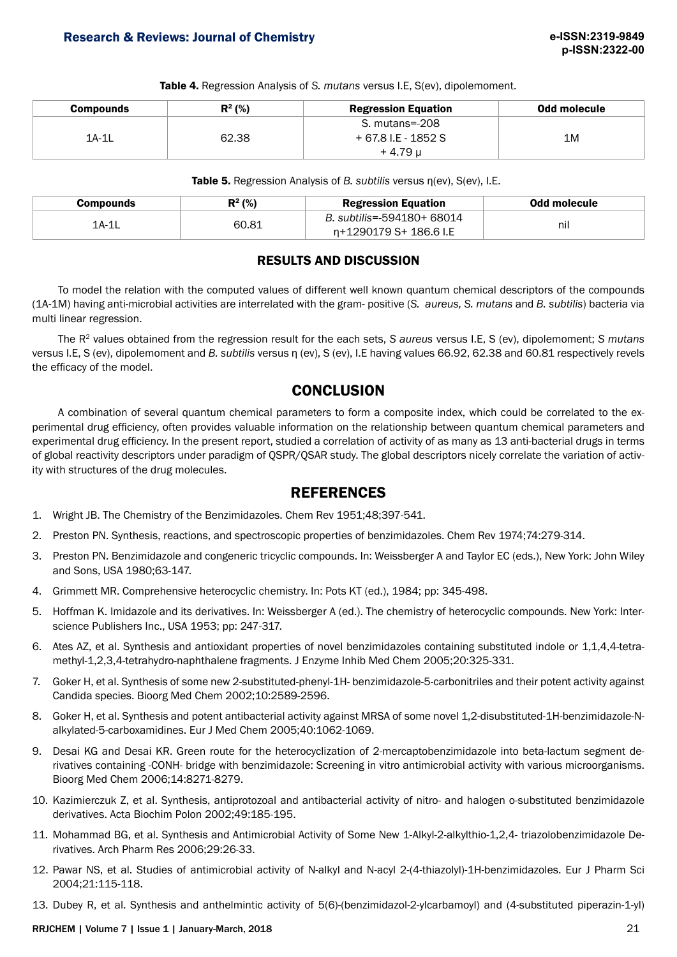Table 4. Regression Analysis of *S. mutans* versus I.E, S(ev), dipolemoment.

| <b>Compounds</b> | $R^2$ (%) | <b>Regression Equation</b> | Odd molecule |
|------------------|-----------|----------------------------|--------------|
|                  |           | S. mutans=-208             |              |
| $1A-1L$          | 62.38     | + 67.8 I.E - 1852 S        | 1M           |
|                  |           | + 4.79 u                   |              |

Table 5. Regression Analysis of *B. subtilis* versus η(ev), S(ev), I.E.

| Compounds | $R^2$ (%) | <b>Regression Equation</b>                           | Odd molecule |
|-----------|-----------|------------------------------------------------------|--------------|
| 1A-1L     | 60.81     | B. subtilis=-594180+ 68014<br>n+1290179 S+ 186.6 I.E | nil          |

## RESULTS AND DISCUSSION

To model the relation with the computed values of different well known quantum chemical descriptors of the compounds (1A-1M) having anti-microbial activities are interrelated with the gram- positive (*S. aureus, S. mutans* and *B. subtilis*) bacteria via multi linear regression.

The R2 values obtained from the regression result for the each sets, *S aureus* versus I.E, S (ev), dipolemoment; *S mutans* versus I.E, S (ev), dipolemoment and *B. subtilis* versus η (ev), S (ev), I.E having values 66.92, 62.38 and 60.81 respectively revels the efficacy of the model.

# **CONCLUSION**

A combination of several quantum chemical parameters to form a composite index, which could be correlated to the experimental drug efficiency, often provides valuable information on the relationship between quantum chemical parameters and experimental drug efficiency. In the present report, studied a correlation of activity of as many as 13 anti-bacterial drugs in terms of global reactivity descriptors under paradigm of QSPR/QSAR study. The global descriptors nicely correlate the variation of activity with structures of the drug molecules.

# **REFERENCES**

- 1. Wright JB. The Chemistry of the Benzimidazoles. Chem Rev 1951;48;397-541.
- 2. Preston PN. Synthesis, reactions, and spectroscopic properties of benzimidazoles. Chem Rev 1974;74:279-314.
- 3. Preston PN. Benzimidazole and congeneric tricyclic compounds. In: Weissberger A and Taylor EC (eds.), New York: John Wiley and Sons, USA 1980;63-147.
- 4. Grimmett MR. Comprehensive heterocyclic chemistry. In: Pots KT (ed.), 1984; pp: 345-498.
- 5. Hoffman K. Imidazole and its derivatives. In: Weissberger A (ed.). The chemistry of heterocyclic compounds. New York: Interscience Publishers Inc., USA 1953; pp: 247-317.
- 6. Ates AZ, et al. Synthesis and antioxidant properties of novel benzimidazoles containing substituted indole or 1,1,4,4-tetramethyl-1,2,3,4-tetrahydro-naphthalene fragments. J Enzyme Inhib Med Chem 2005;20:325-331.
- 7. Goker H, et al. Synthesis of some new 2-substituted-phenyl-1H- benzimidazole-5-carbonitriles and their potent activity against Candida species. Bioorg Med Chem 2002;10:2589-2596.
- 8. Goker H, et al. Synthesis and potent antibacterial activity against MRSA of some novel 1,2-disubstituted-1H-benzimidazole-Nalkylated-5-carboxamidines. Eur J Med Chem 2005;40:1062-1069.
- 9. Desai KG and Desai KR. Green route for the heterocyclization of 2-mercaptobenzimidazole into beta-lactum segment derivatives containing -CONH- bridge with benzimidazole: Screening in vitro antimicrobial activity with various microorganisms. Bioorg Med Chem 2006;14:8271-8279.
- 10. Kazimierczuk Z, et al. Synthesis, antiprotozoal and antibacterial activity of nitro- and halogen o-substituted benzimidazole derivatives. Acta Biochim Polon 2002;49:185-195.
- 11. Mohammad BG, et al. Synthesis and Antimicrobial Activity of Some New 1-Alkyl-2-alkylthio-1,2,4- triazolobenzimidazole Derivatives. Arch Pharm Res 2006;29:26-33.
- 12. Pawar NS, et al. Studies of antimicrobial activity of N-alkyl and N-acyl 2-(4-thiazolyl)-1H-benzimidazoles. Eur J Pharm Sci 2004;21:115-118.
- 13. Dubey R, et al. Synthesis and anthelmintic activity of 5(6)-(benzimidazol-2-ylcarbamoyl) and (4-substituted piperazin-1-yl)